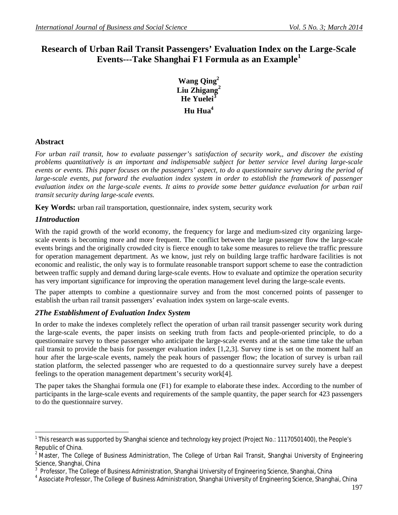# **Research of Urban Rail Transit Passengers' Evaluation Index on the Large-Scale Events---Take Shanghai F1 Formula as an Example<sup>1</sup>**

**Wang Qing<sup>2</sup> Liu Zhigang<sup>2</sup> He Yuelei<sup>3</sup> Hu Hua<sup>4</sup>**

### **Abstract**

*For urban rail transit, how to evaluate passenger's satisfaction of security work,, and discover the existing problems quantitatively is an important and indispensable subject for better service level during large-scale events or events. This paper focuses on the passengers' aspect, to do a questionnaire survey during the period of large-scale events, put forward the evaluation index system in order to establish the framework of passenger evaluation index on the large-scale events. It aims to provide some better guidance evaluation for urban rail transit security during large-scale events.*

**Key Words:** urban rail transportation, questionnaire, index system, security work

### *1Introduction*

With the rapid growth of the world economy, the frequency for large and medium-sized city organizing largescale events is becoming more and more frequent. The conflict between the large passenger flow the large-scale events brings and the originally crowded city is fierce enough to take some measures to relieve the traffic pressure for operation management department. As we know, just rely on building large traffic hardware facilities is not economic and realistic, the only way is to formulate reasonable transport support scheme to ease the contradiction between traffic supply and demand during large-scale events. How to evaluate and optimize the operation security has very important significance for improving the operation management level during the large-scale events.

The paper attempts to combine a questionnaire survey and from the most concerned points of passenger to establish the urban rail transit passengers' evaluation index system on large-scale events.

### *2The Establishment of Evaluation Index System*

In order to make the indexes completely reflect the operation of urban rail transit passenger security work during the large-scale events, the paper insists on seeking truth from facts and people-oriented principle, to do a questionnaire survey to these passenger who anticipate the large-scale events and at the same time take the urban rail transit to provide the basis for passenger evaluation index [1,2,3]. Survey time is set on the moment half an hour after the large-scale events, namely the peak hours of passenger flow; the location of survey is urban rail station platform, the selected passenger who are requested to do a questionnaire survey surely have a deepest feelings to the operation management department's security work[4].

The paper takes the Shanghai formula one (F1) for example to elaborate these index. According to the number of participants in the large-scale events and requirements of the sample quantity, the paper search for 423 passengers to do the questionnaire survey.

 $\overline{a}$ <sup>1</sup> This research was supported by Shanghai science and technology key project (Project No.: 11170501400), the People's Republic of China.

<sup>&</sup>lt;sup>2</sup> Master, The College of Business Administration, The College of Urban Rail Transit, Shanghai University of Engineering Science, Shanghai, China

<sup>3</sup> Professor, The College of Business Administration, Shanghai University of Engineering Science, Shanghai, China

<sup>4</sup> Associate Professor, The College of Business Administration, Shanghai University of Engineering Science, Shanghai, China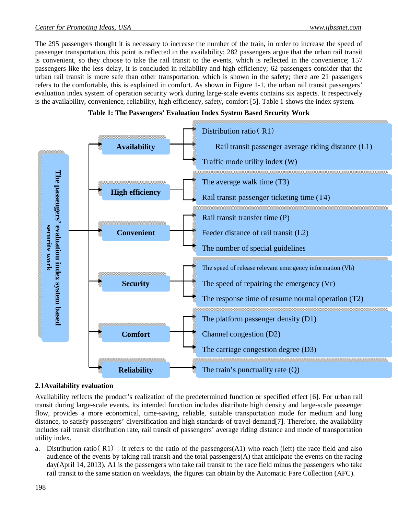The 295 passengers thought it is necessary to increase the number of the train, in order to increase the speed of passenger transportation, this point is reflected in the availability; 282 passengers argue that the urban rail transit is convenient, so they choose to take the rail transit to the events, which is reflected in the convenience; 157 passengers like the less delay, it is concluded in reliability and high efficiency; 62 passengers consider that the urban rail transit is more safe than other transportation, which is shown in the safety; there are 21 passengers refers to the comfortable, this is explained in comfort. As shown in Figure 1-1, the urban rail transit passengers' evaluation index system of operation security work during large-scale events contains six aspects. It respectively is the availability, convenience, reliability, high efficiency, safety, comfort [5]. Table 1 shows the index system.





#### **2.1Availability evaluation**

Availability reflects the product's realization of the predetermined function or specified effect [6]. For urban rail transit during large-scale events, its intended function includes distribute high density and large-scale passenger flow, provides a more economical, time-saving, reliable, suitable transportation mode for medium and long distance, to satisfy passengers' diversification and high standards of travel demand[7]. Therefore, the availability includes rail transit distribution rate, rail transit of passengers' average riding distance and mode of transportation utility index.

a. Distribution ratio( R1) : it refers to the ratio of the passengers(A1) who reach (left) the race field and also audience of the events by taking rail transit and the total passengers $(A)$  that anticipate the events on the racing day(April 14, 2013). A1 is the passengers who take rail transit to the race field minus the passengers who take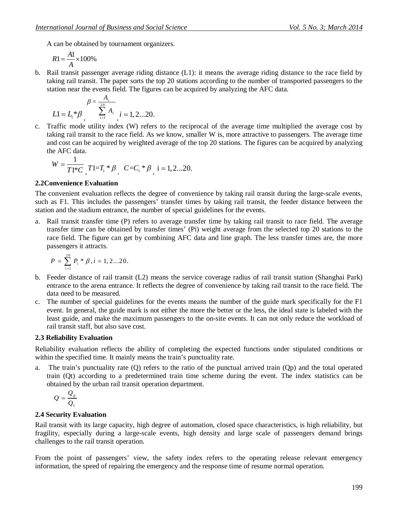A can be obtained by tournament organizers.

$$
R1 = \frac{A1}{A} \times 100\%
$$

b. Rail transit passenger average riding distance (L1): it means the average riding distance to the race field by taking rail transit. The paper sorts the top 20 stations according to the number of transported passengers to the station near the events field. The figures can be acquired by analyzing the AFC data.

$$
\beta = \frac{A_{i}}{\sum_{i=1}^{20} A_{i}}, \quad i = 1, 2...20.
$$

c. Traffic mode utility index (W) refers to the reciprocal of the average time multiplied the average cost by taking rail transit to the race field. As we know, smaller W is, more attractive to passengers. The average time and cost can be acquired by weighted average of the top 20 stations. The figures can be acquired by analyzing the AFC data.

$$
W = \frac{1}{T1*C} T1 = T_i * \beta \int C = C_i * \beta \int I = 1, 2...20.
$$

#### **2.2Convenience Evaluation**

The convenient evaluation reflects the degree of convenience by taking rail transit during the large-scale events, such as F1. This includes the passengers' transfer times by taking rail transit, the feeder distance between the station and the stadium entrance, the number of special guidelines for the events.

a. Rail transit transfer time (P) refers to average transfer time by taking rail transit to race field. The average transfer time can be obtained by transfer times' (Pi) weight average from the selected top 20 stations to the race field. The figure can get by combining AFC data and line graph. The less transfer times are, the more passengers it attracts.

$$
P = \sum_{i=1}^{20} P_i * \beta, i = 1, 2...20.
$$

- b. Feeder distance of rail transit (L2) means the service coverage radius of rail transit station (Shanghai Park) entrance to the arena entrance. It reflects the degree of convenience by taking rail transit to the race field. The data need to be measured.
- c. The number of special guidelines for the events means the number of the guide mark specifically for the F1 event. In general, the guide mark is not either the more the better or the less, the ideal state is labeled with the least guide, and make the maximum passengers to the on-site events. It can not only reduce the workload of rail transit staff, but also save cost.

#### **2.3 Reliability Evaluation**

Reliability evaluation reflects the ability of completing the expected functions under stipulated conditions or within the specified time. It mainly means the train's punctuality rate.

a. The train's punctuality rate (Q) refers to the ratio of the punctual arrived train (Qp) and the total operated train (Qt) according to a predetermined train time scheme during the event. The index statistics can be obtained by the urban rail transit operation department.

$$
Q=\frac{Q_{\rm p}}{Q_{\rm t}}
$$

#### **2.4 Security Evaluation**

Rail transit with its large capacity, high degree of automation, closed space characteristics, is high reliability, but fragility, especially during a large-scale events, high density and large scale of passengers demand brings challenges to the rail transit operation.

From the point of passengers' view, the safety index refers to the operating release relevant emergency information, the speed of repairing the emergency and the response time of resume normal operation.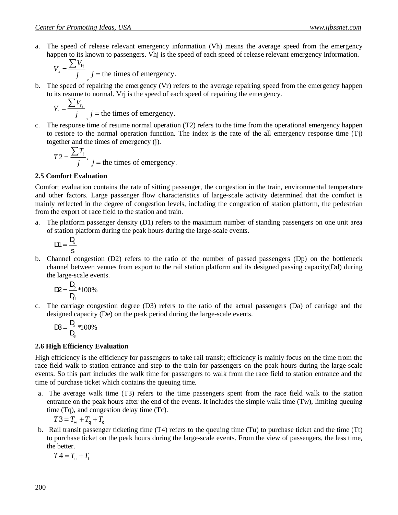$$
V_{\rm h} = \frac{\sum V_{\rm hj}}{j}
$$
, *j* = the times of emergency.

b. The speed of repairing the emergency (Vr) refers to the average repairing speed from the emergency happen to its resume to normal. Vrj is the speed of each speed of repairing the emergency.

$$
V_{\rm r} = \frac{\sum V_{\rm rj}}{j}
$$
, *j* = the times of emergency.

c. The response time of resume normal operation (T2) refers to the time from the operational emergency happen to restore to the normal operation function. The index is the rate of the all emergency response time (Tj) together and the times of emergency (j).

$$
T2 = \frac{\sum T_j}{j}, \, j = \text{the times of emergency.}
$$

#### **2.5 Comfort Evaluation**

Comfort evaluation contains the rate of sitting passenger, the congestion in the train, environmental temperature and other factors. Large passenger flow characteristics of large-scale activity determined that the comfort is mainly reflected in the degree of congestion levels, including the congestion of station platform, the pedestrian from the export of race field to the station and train.

a. The platform passenger density (D1) refers to the maximum number of standing passengers on one unit area of station platform during the peak hours during the large-scale events.

$$
DI=\frac{D_{\!s}}{s}
$$

i. b. Channel congestion (D2) refers to the ratio of the number of passed passengers (Dp) on the bottleneck channel between venues from export to the rail station platform and its designed passing capacity(Dd) during the large-scale events.

$$
D2 = \frac{D_p}{D_d} * 100\%
$$

c. The carriage congestion degree (D3) refers to the ratio of the actual passengers (Da) of carriage and the designed capacity (De) on the peak period during the large-scale events.

$$
D\!3\!=\!\frac{D_{\!a}}{D_{\!e}}\!\ast\!100\%
$$

#### **2.6 High Efficiency Evaluation**

High efficiency is the efficiency for passengers to take rail transit; efficiency is mainly focus on the time from the race field walk to station entrance and step to the train for passengers on the peak hours during the large-scale events. So this part includes the walk time for passengers to walk from the race field to station entrance and the time of purchase ticket which contains the queuing time.

a. The average walk time (T3) refers to the time passengers spent from the race field walk to the station entrance on the peak hours after the end of the events. It includes the simple walk time (Tw), limiting queuing time (Tq), and congestion delay time (Tc).

$$
T3 = T_{\rm w} + T_{\rm q} + T_{\rm c}
$$

b. Rail transit passenger ticketing time (T4) refers to the queuing time (Tu) to purchase ticket and the time (Tt) to purchase ticket on the peak hours during the large-scale events. From the view of passengers, the less time, the better.

 $T4 = T_{\rm u} + T_{\rm t}$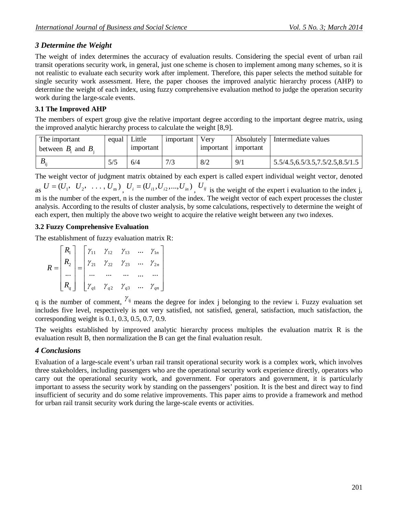## *3 Determine the Weight*

The weight of index determines the accuracy of evaluation results. Considering the special event of urban rail transit operations security work, in general, just one scheme is chosen to implement among many schemes, so it is not realistic to evaluate each security work after implement. Therefore, this paper selects the method suitable for single security work assessment. Here, the paper chooses the improved analytic hierarchy process (AHP) to determine the weight of each index, using fuzzy comprehensive evaluation method to judge the operation security work during the large-scale events.

### **3.1 The Improved AHP**

The members of expert group give the relative important degree according to the important degree matrix, using the improved analytic hierarchy process to calculate the weight [8,9].

| The important<br>between $B_i$ and $B_i$ | equal | Little<br>important | important | Verv<br>1 important | Absolutely<br>important | Intermediate values                |
|------------------------------------------|-------|---------------------|-----------|---------------------|-------------------------|------------------------------------|
| $\boldsymbol{\nu}$                       |       | 6/4                 | 7/3       | 8/2                 | 9/1                     | 5.5/4.5, 6.5/3.5, 7.5/2.5, 8.5/1.5 |

The weight vector of judgment matrix obtained by each expert is called expert individual weight vector, denoted

as  $U = (U_1, U_2, \ldots, U_m)$ ,  $U_i = (U_{i1}, U_{i2}, \ldots, U_{in})$ ,  $U_{ij}$  is the weight of the expert i evaluation to the index j, m is the number of the expert, n is the number of the index. The weight vector of each expert processes the cluster analysis. According to the results of cluster analysis, by some calculations, respectively to determine the weight of each expert, then multiply the above two weight to acquire the relative weight between any two indexes.

### **3.2 Fuzzy Comprehensive Evaluation**

The establishment of fuzzy evaluation matrix R:

$$
R = \begin{bmatrix} R_1 \\ R_2 \\ \cdots \\ R_q \end{bmatrix} = \begin{bmatrix} \gamma_{11} & \gamma_{12} & \gamma_{13} & \cdots & \gamma_{1n} \\ \gamma_{21} & \gamma_{22} & \gamma_{23} & \cdots & \gamma_{2n} \\ \cdots & \cdots & \cdots & \cdots & \cdots \\ \gamma_{q1} & \gamma_{q2} & \gamma_{q3} & \cdots & \gamma_{qn} \end{bmatrix}
$$

q is the number of comment,  $\gamma_{ij}$  means the degree for index j belonging to the review i. Fuzzy evaluation set includes five level, respectively is not very satisfied, not satisfied, general, satisfaction, much satisfaction, the corresponding weight is 0.1, 0.3, 0.5, 0.7, 0.9.

The weights established by improved analytic hierarchy process multiples the evaluation matrix R is the evaluation result B, then normalization the B can get the final evaluation result.

## *4 Conclusions*

Evaluation of a large-scale event's urban rail transit operational security work is a complex work, which involves three stakeholders, including passengers who are the operational security work experience directly, operators who carry out the operational security work, and government. For operators and government, it is particularly important to assess the security work by standing on the passengers' position. It is the best and direct way to find insufficient of security and do some relative improvements. This paper aims to provide a framework and method for urban rail transit security work during the large-scale events or activities.